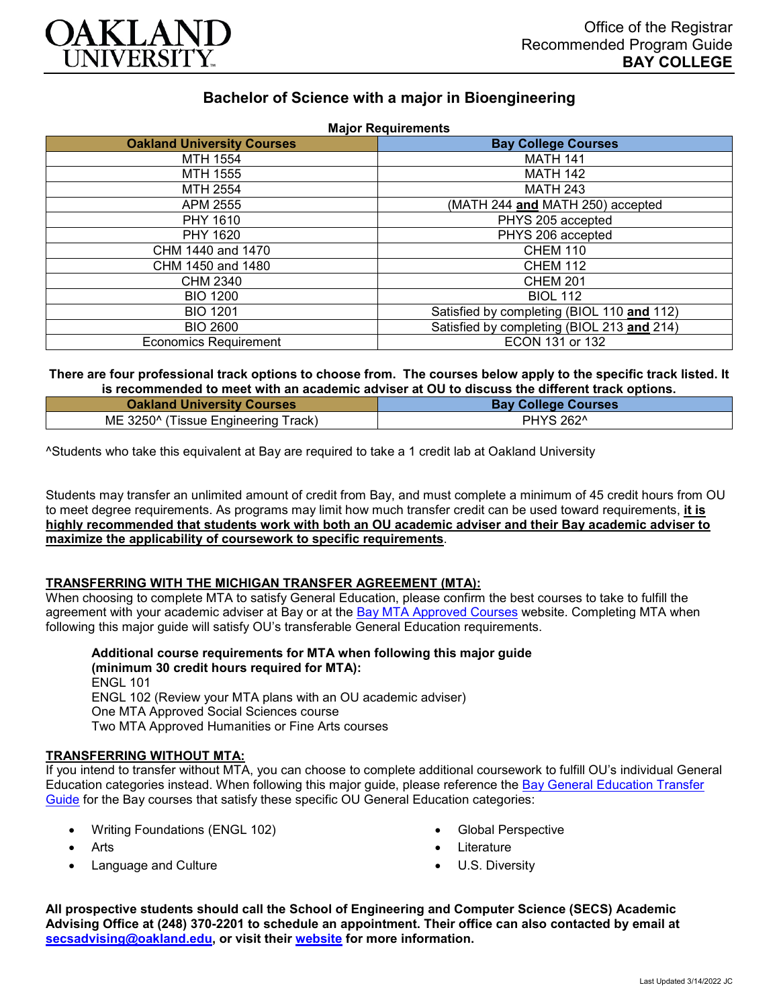

# **Bachelor of Science with a major in Bioengineering**

| <b>Major Requirements</b>         |                                            |
|-----------------------------------|--------------------------------------------|
| <b>Oakland University Courses</b> | <b>Bay College Courses</b>                 |
| MTH 1554                          | <b>MATH 141</b>                            |
| MTH 1555                          | <b>MATH 142</b>                            |
| MTH 2554                          | <b>MATH 243</b>                            |
| APM 2555                          | (MATH 244 and MATH 250) accepted           |
| PHY 1610                          | PHYS 205 accepted                          |
| PHY 1620                          | PHYS 206 accepted                          |
| CHM 1440 and 1470                 | <b>CHEM 110</b>                            |
| CHM 1450 and 1480                 | <b>CHEM 112</b>                            |
| CHM 2340                          | <b>CHEM 201</b>                            |
| <b>BIO 1200</b>                   | <b>BIOL 112</b>                            |
| <b>BIO 1201</b>                   | Satisfied by completing (BIOL 110 and 112) |
| <b>BIO 2600</b>                   | Satisfied by completing (BIOL 213 and 214) |
| <b>Economics Requirement</b>      | ECON 131 or 132                            |

**There are four professional track options to choose from. The courses below apply to the specific track listed. It is recommended to meet with an academic adviser at OU to discuss the different track options.**

| <b>Oakland University Courses</b>   | <b>Bay College Courses</b> |
|-------------------------------------|----------------------------|
| ME 3250^ (Tissue Engineering Track) | <b>PHYS 262^</b>           |

^Students who take this equivalent at Bay are required to take a 1 credit lab at Oakland University

Students may transfer an unlimited amount of credit from Bay, and must complete a minimum of 45 credit hours from OU to meet degree requirements. As programs may limit how much transfer credit can be used toward requirements, **it is highly recommended that students work with both an OU academic adviser and their Bay academic adviser to maximize the applicability of coursework to specific requirements**.

### **TRANSFERRING WITH THE MICHIGAN TRANSFER AGREEMENT (MTA):**

When choosing to complete MTA to satisfy General Education, please confirm the best courses to take to fulfill the agreement with your academic adviser at Bay or at the [Bay MTA Approved Courses](https://www.baycollege.edu/admissions/transfer/transfer-agreements.php) website. Completing MTA when following this major guide will satisfy OU's transferable General Education requirements.

**Additional course requirements for MTA when following this major guide (minimum 30 credit hours required for MTA):** ENGL 101 ENGL 102 (Review your MTA plans with an OU academic adviser) One MTA Approved Social Sciences course Two MTA Approved Humanities or Fine Arts courses

### **TRANSFERRING WITHOUT MTA:**

If you intend to transfer without MTA, you can choose to complete additional coursework to fulfill OU's individual General Education categories instead. When following this major guide, please reference the [Bay General Education Transfer](https://www.oakland.edu/Assets/Oakland/program-guides/bay-college/university-general-education-requirements/Bay%20Gen%20Ed.pdf)  [Guide](https://www.oakland.edu/Assets/Oakland/program-guides/bay-college/university-general-education-requirements/Bay%20Gen%20Ed.pdf) for the Bay courses that satisfy these specific OU General Education categories:

- Writing Foundations (ENGL 102)
- Arts
- Language and Culture
- Global Perspective
- **Literature**
- U.S. Diversity

**All prospective students should call the School of Engineering and Computer Science (SECS) Academic Advising Office at (248) 370-2201 to schedule an appointment. Their office can also contacted by email at [secsadvising@oakland.edu,](mailto:secsadvising@oakland.edu) or visit their [website](https://wwwp.oakland.edu/secs/advising/) for more information.**